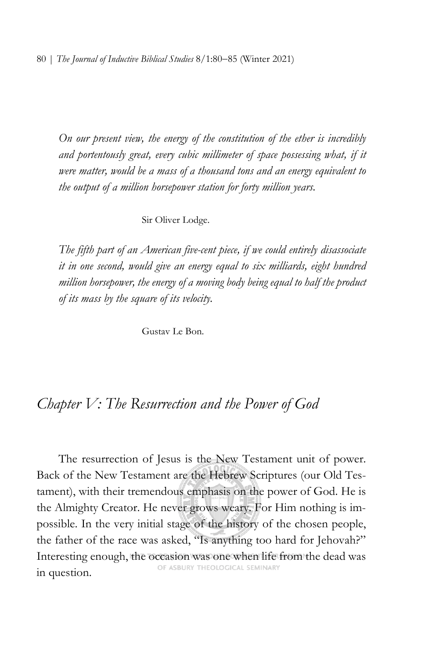*On our present view, the energy of the constitution of the ether is incredibly*  and portentously great, every cubic millimeter of space possessing what, if it *were matter, would be a mass of a thousand tons and an energy equivalent to the output of a million horsepower station for forty million years.*

## Sir Oliver Lodge.

*The fifth part of an American five-cent piece, if we could entirely disassociate it in one second, would give an energy equal to six milliards, eight hundred million horsepower, the energy of a moving body being equal to half the product of its mass by the square of its velocity.*

Gustav Le Bon.

## *Chapter V: The Resurrection and the Power of God*

The resurrection of Jesus is the New Testament unit of power. Back of the New Testament are the Hebrew Scriptures (our Old Testament), with their tremendous emphasis on the power of God. He is the Almighty Creator. He never grows weary. For Him nothing is impossible. In the very initial stage of the history of the chosen people, the father of the race was asked, "Is anything too hard for Jehovah?" Interesting enough, the occasion was one when life from the dead was in question.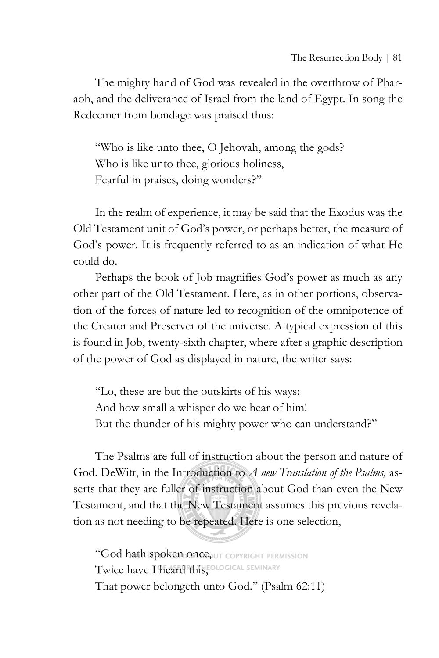The mighty hand of God was revealed in the overthrow of Pharaoh, and the deliverance of Israel from the land of Egypt. In song the Redeemer from bondage was praised thus:

"Who is like unto thee, O Jehovah, among the gods? Who is like unto thee, glorious holiness, Fearful in praises, doing wonders?"

In the realm of experience, it may be said that the Exodus was the Old Testament unit of God's power, or perhaps better, the measure of God's power. It is frequently referred to as an indication of what He could do.

Perhaps the book of Job magnifies God's power as much as any other part of the Old Testament. Here, as in other portions, observation of the forces of nature led to recognition of the omnipotence of the Creator and Preserver of the universe. A typical expression of this is found in Job, twenty-sixth chapter, where after a graphic description of the power of God as displayed in nature, the writer says:

"Lo, these are but the outskirts of his ways: And how small a whisper do we hear of him! But the thunder of his mighty power who can understand?"

The Psalms are full of instruction about the person and nature of God. DeWitt, in the Introduction to *A new Translation of the Psalms,* asserts that they are fuller of instruction about God than even the New Testament, and that the New Testament assumes this previous revelation as not needing to be repeated. Here is one selection,

"God hath spoken once, UT COPYRIGHT PERMISSION Twice have I heard this, EQLOGICAL SEMINARY That power belongeth unto God." (Psalm 62:11)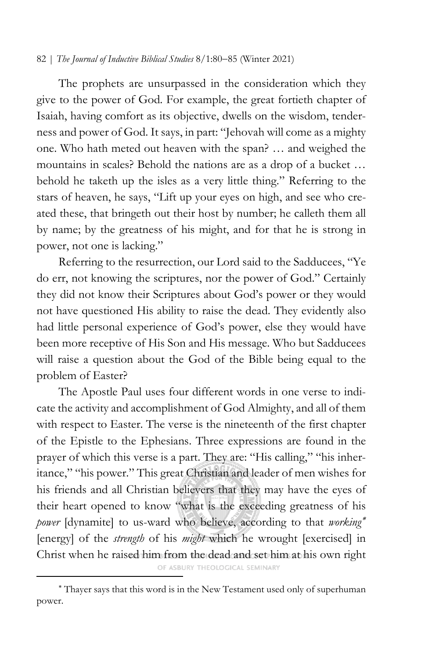## 82 | *The Journal of Inductive Biblical Studies* 8/1:80−85 (Winter 2021)

The prophets are unsurpassed in the consideration which they give to the power of God. For example, the great fortieth chapter of Isaiah, having comfort as its objective, dwells on the wisdom, tenderness and power of God. It says, in part: "Jehovah will come as a mighty one. Who hath meted out heaven with the span? … and weighed the mountains in scales? Behold the nations are as a drop of a bucket … behold he taketh up the isles as a very little thing." Referring to the stars of heaven, he says, "Lift up your eyes on high, and see who created these, that bringeth out their host by number; he calleth them all by name; by the greatness of his might, and for that he is strong in power, not one is lacking."

Referring to the resurrection, our Lord said to the Sadducees, "Ye do err, not knowing the scriptures, nor the power of God." Certainly they did not know their Scriptures about God's power or they would not have questioned His ability to raise the dead. They evidently also had little personal experience of God's power, else they would have been more receptive of His Son and His message. Who but Sadducees will raise a question about the God of the Bible being equal to the problem of Easter?

The Apostle Paul uses four different words in one verse to indicate the activity and accomplishment of God Almighty, and all of them with respect to Easter. The verse is the nineteenth of the first chapter of the Epistle to the Ephesians. Three expressions are found in the prayer of which this verse is a part. They are: "His calling," "his inheritance," "his power." This great Christian and leader of men wishes for his friends and all Christian believers that they may have the eyes of their heart opened to know "what is the exceeding greatness of his *power* [dynamite] to us-ward who believe, according to that *working*[∗](#page-2-0) [energy] of the *strength* of his *might* which he wrought [exercised] in Christ when he raised him from the dead and set him at his own right

OF ASBURY THEOLOGICAL SEMINARY

<span id="page-2-0"></span><sup>∗</sup> Thayer says that this word is in the New Testament used only of superhuman power.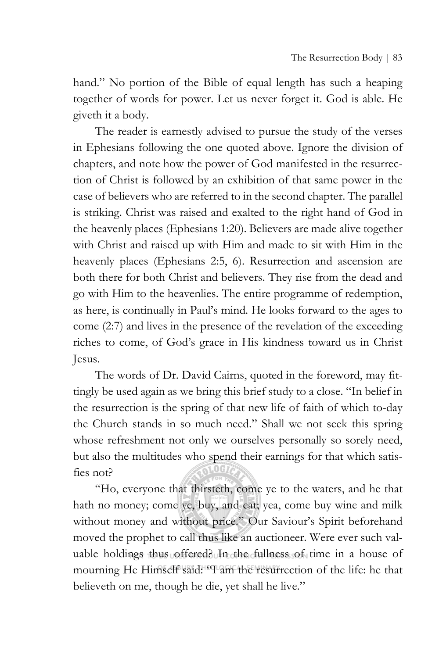hand." No portion of the Bible of equal length has such a heaping together of words for power. Let us never forget it. God is able. He giveth it a body.

The reader is earnestly advised to pursue the study of the verses in Ephesians following the one quoted above. Ignore the division of chapters, and note how the power of God manifested in the resurrection of Christ is followed by an exhibition of that same power in the case of believers who are referred to in the second chapter. The parallel is striking. Christ was raised and exalted to the right hand of God in the heavenly places (Ephesians 1:20). Believers are made alive together with Christ and raised up with Him and made to sit with Him in the heavenly places (Ephesians 2:5, 6). Resurrection and ascension are both there for both Christ and believers. They rise from the dead and go with Him to the heavenlies. The entire programme of redemption, as here, is continually in Paul's mind. He looks forward to the ages to come (2:7) and lives in the presence of the revelation of the exceeding riches to come, of God's grace in His kindness toward us in Christ Jesus.

The words of Dr. David Cairns, quoted in the foreword, may fittingly be used again as we bring this brief study to a close. "In belief in the resurrection is the spring of that new life of faith of which to-day the Church stands in so much need." Shall we not seek this spring whose refreshment not only we ourselves personally so sorely need, but also the multitudes who spend their earnings for that which satisfies not?

"Ho, everyone that thirsteth, come ye to the waters, and he that hath no money; come ye, buy, and eat; yea, come buy wine and milk without money and without price." Our Saviour's Spirit beforehand moved the prophet to call thus like an auctioneer. Were ever such valuable holdings thus offered? In the fullness sof time in a house of mourning He Himself said: "I am the resurrection of the life: he that believeth on me, though he die, yet shall he live."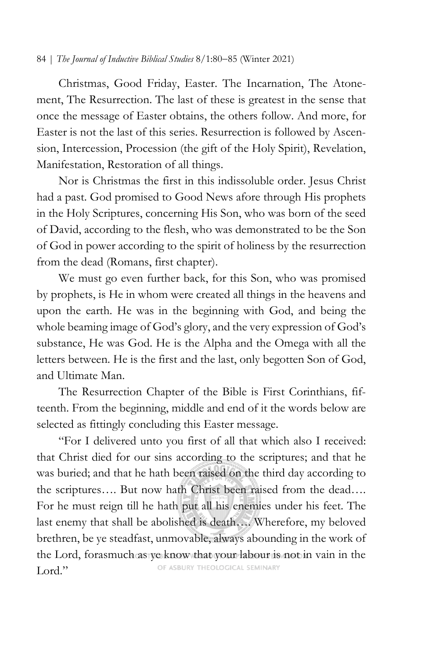## 84 | *The Journal of Inductive Biblical Studies* 8/1:80−85 (Winter 2021)

Christmas, Good Friday, Easter. The Incarnation, The Atonement, The Resurrection. The last of these is greatest in the sense that once the message of Easter obtains, the others follow. And more, for Easter is not the last of this series. Resurrection is followed by Ascension, Intercession, Procession (the gift of the Holy Spirit), Revelation, Manifestation, Restoration of all things.

Nor is Christmas the first in this indissoluble order. Jesus Christ had a past. God promised to Good News afore through His prophets in the Holy Scriptures, concerning His Son, who was born of the seed of David, according to the flesh, who was demonstrated to be the Son of God in power according to the spirit of holiness by the resurrection from the dead (Romans, first chapter).

We must go even further back, for this Son, who was promised by prophets, is He in whom were created all things in the heavens and upon the earth. He was in the beginning with God, and being the whole beaming image of God's glory, and the very expression of God's substance, He was God. He is the Alpha and the Omega with all the letters between. He is the first and the last, only begotten Son of God, and Ultimate Man.

The Resurrection Chapter of the Bible is First Corinthians, fifteenth. From the beginning, middle and end of it the words below are selected as fittingly concluding this Easter message.

"For I delivered unto you first of all that which also I received: that Christ died for our sins according to the scriptures; and that he was buried; and that he hath been raised on the third day according to the scriptures…. But now hath Christ been raised from the dead…. For he must reign till he hath put all his enemies under his feet. The last enemy that shall be abolished is death…. Wherefore, my beloved brethren, be ye steadfast, unmovable, always abounding in the work of the Lord, forasmuch as ye know that your labour is not in vain in the OF ASBURY THEOLOGICAL SEMINARY Lord."